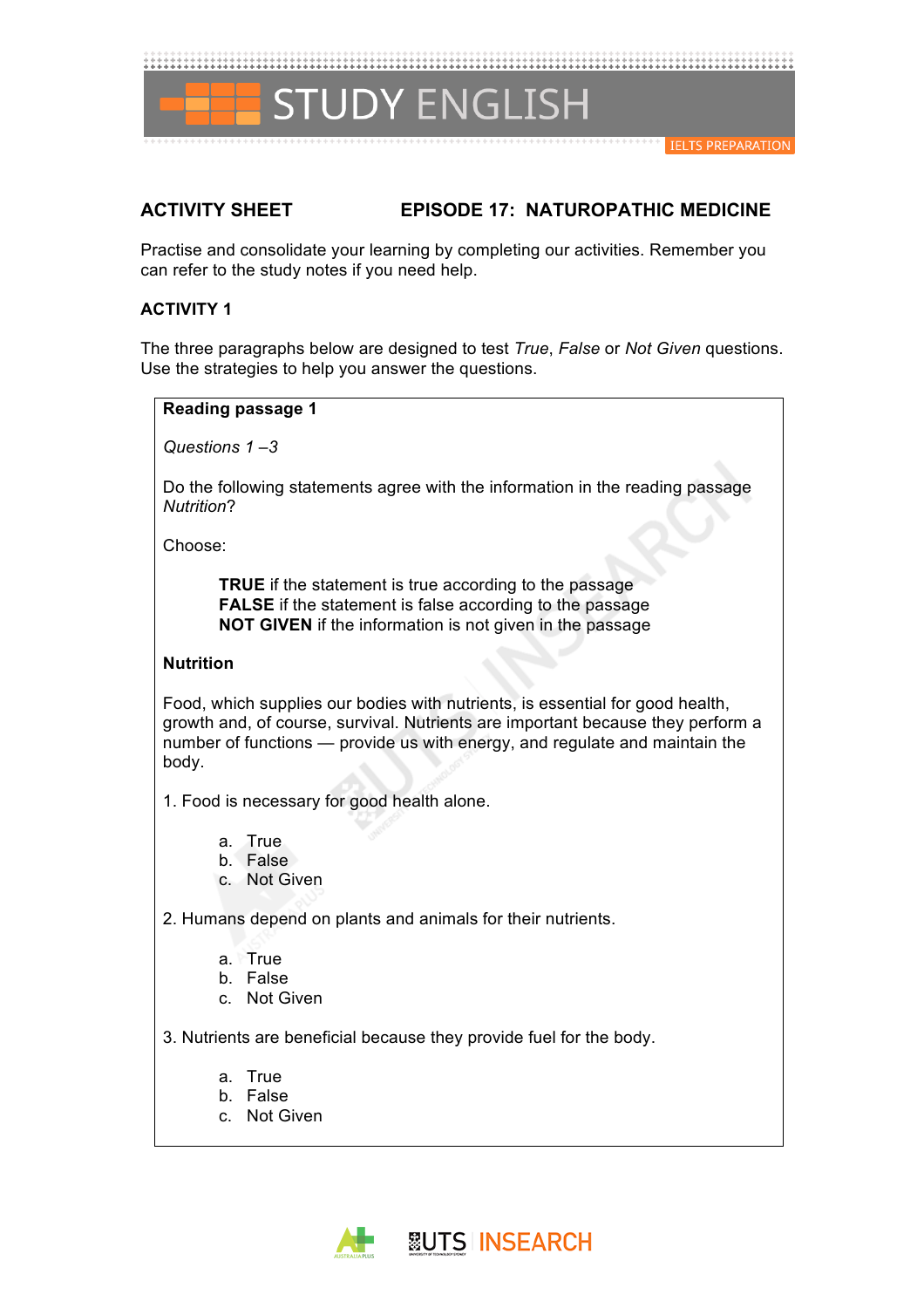

# **ACTIVITY SHEET EPISODE 17: NATUROPATHIC MEDICINE**

Practise and consolidate your learning by completing our activities. Remember you can refer to the study notes if you need help.

# **ACTIVITY 1**

The three paragraphs below are designed to test *True*, *False* or *Not Given* questions. Use the strategies to help you answer the questions.

**Reading passage 1** 

*Questions 1 –3*

Do the following statements agree with the information in the reading passage *Nutrition*?

Choose:

**TRUE** if the statement is true according to the passage **FALSE** if the statement is false according to the passage **NOT GIVEN** if the information is not given in the passage

# **Nutrition**

Food, which supplies our bodies with nutrients, is essential for good health, growth and, of course, survival. Nutrients are important because they perform a number of functions — provide us with energy, and regulate and maintain the body.

1. Food is necessary for good health alone.

- a. True
- b. False
- c. Not Given

2. Humans depend on plants and animals for their nutrients.

- a. True
- b. False
- c. Not Given

3. Nutrients are beneficial because they provide fuel for the body.

- a. True
- b. False
- c. Not Given

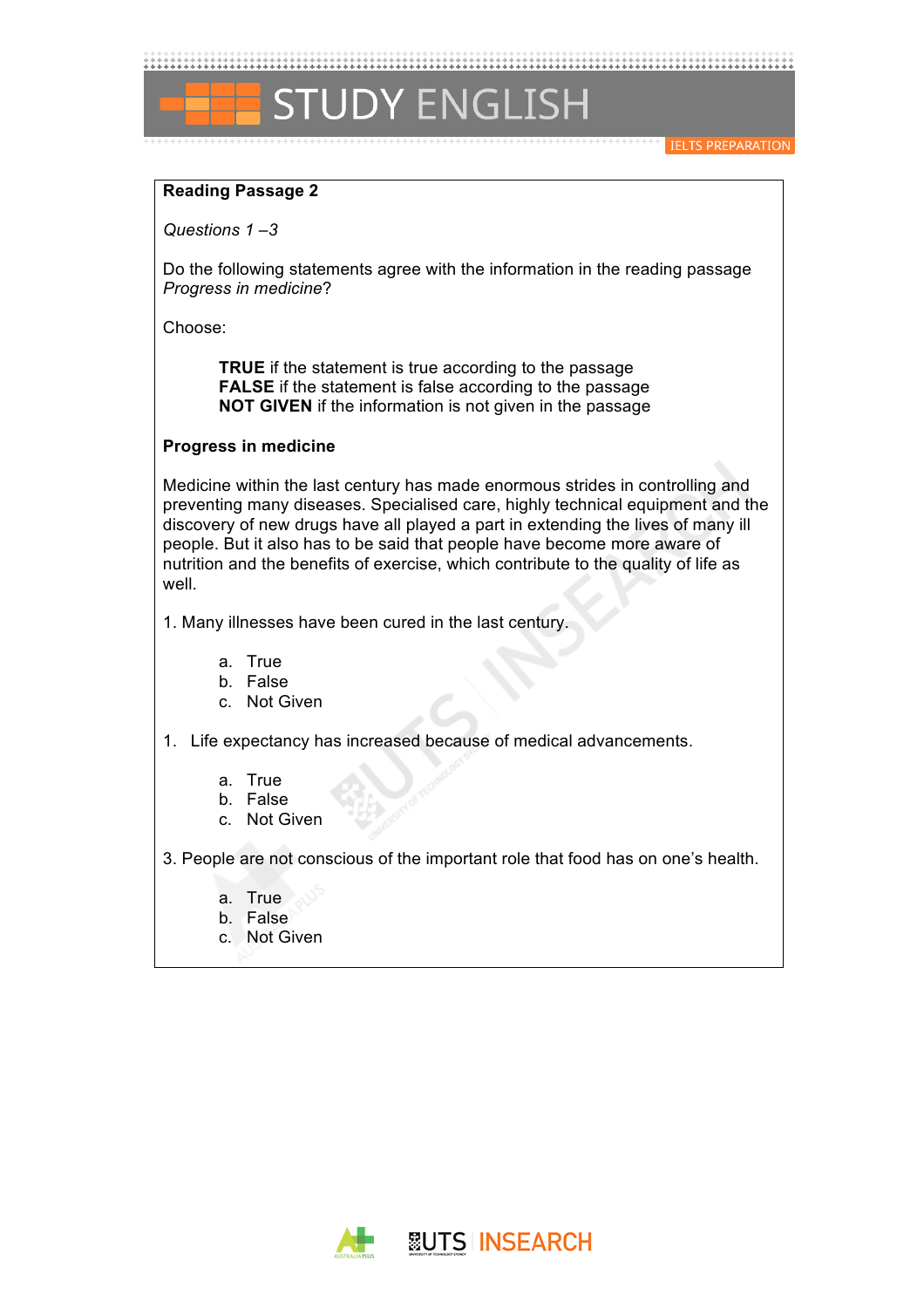

#### **IELTS PREPARATION**

### **Reading Passage 2**

*Questions 1 –3*

Do the following statements agree with the information in the reading passage *Progress in medicine*?

Choose:

**TRUE** if the statement is true according to the passage **FALSE** if the statement is false according to the passage **NOT GIVEN** if the information is not given in the passage

### **Progress in medicine**

Medicine within the last century has made enormous strides in controlling and preventing many diseases. Specialised care, highly technical equipment and the discovery of new drugs have all played a part in extending the lives of many ill people. But it also has to be said that people have become more aware of nutrition and the benefits of exercise, which contribute to the quality of life as well.

1. Many illnesses have been cured in the last century.

- a. True
- b. False
- c. Not Given

1. Life expectancy has increased because of medical advancements.

- a. True
- b. False
- c. Not Given

3. People are not conscious of the important role that food has on one's health.

- a. True
- b. False
- c. Not Given

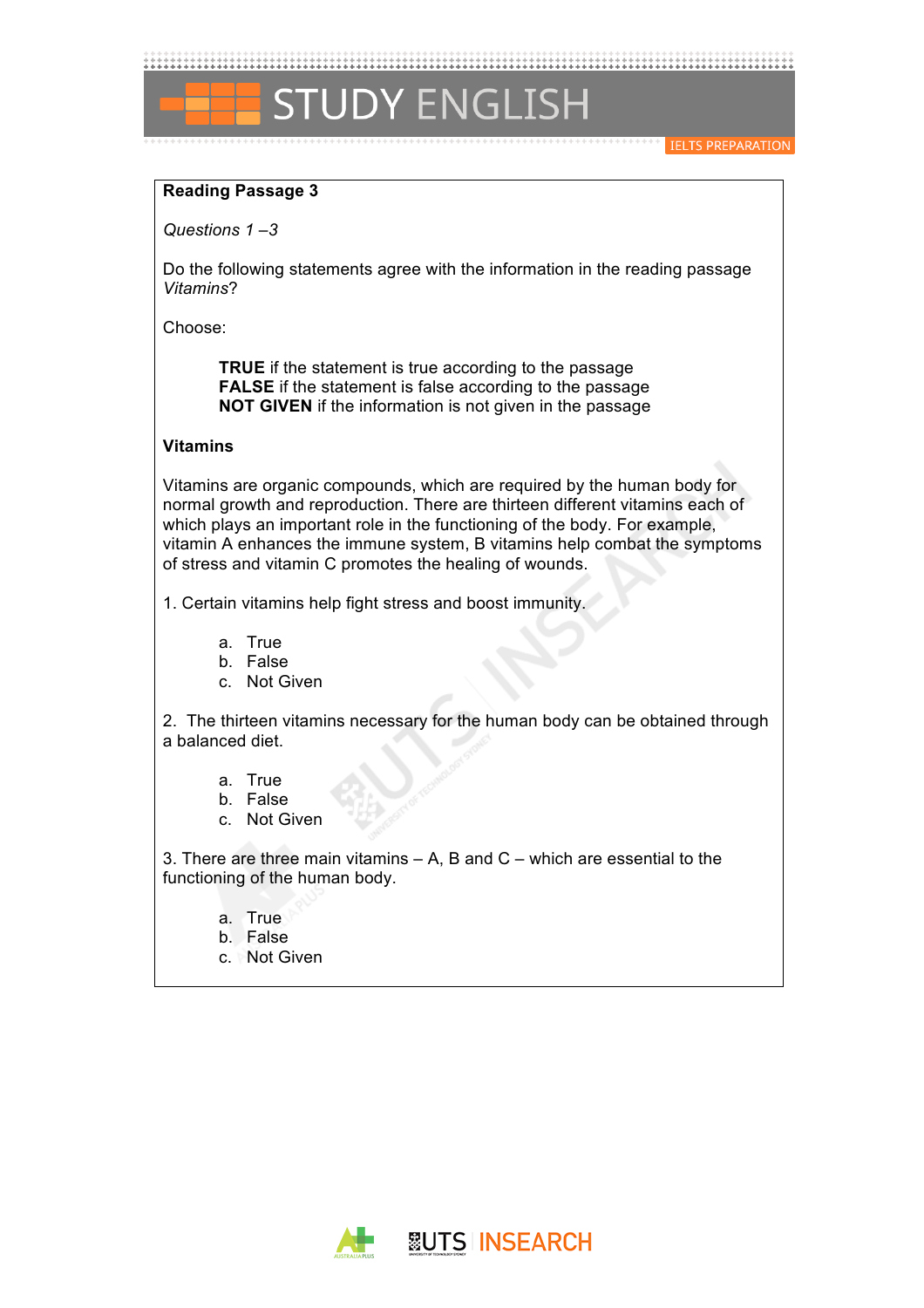

**IELTS PREPARATION** 

# **Reading Passage 3**

*Questions 1 –3*

Do the following statements agree with the information in the reading passage *Vitamins*?

Choose:

**TRUE** if the statement is true according to the passage **FALSE** if the statement is false according to the passage **NOT GIVEN** if the information is not given in the passage

# **Vitamins**

Vitamins are organic compounds, which are required by the human body for normal growth and reproduction. There are thirteen different vitamins each of which plays an important role in the functioning of the body. For example, vitamin A enhances the immune system, B vitamins help combat the symptoms of stress and vitamin C promotes the healing of wounds.

1. Certain vitamins help fight stress and boost immunity.

- a. True
- b. False
- c. Not Given

2. The thirteen vitamins necessary for the human body can be obtained through a balanced diet.

- a. True
- b. False
- c. Not Given

3. There are three main vitamins – A, B and C – which are essential to the functioning of the human body.

- a. True
- b. False
- c. Not Given

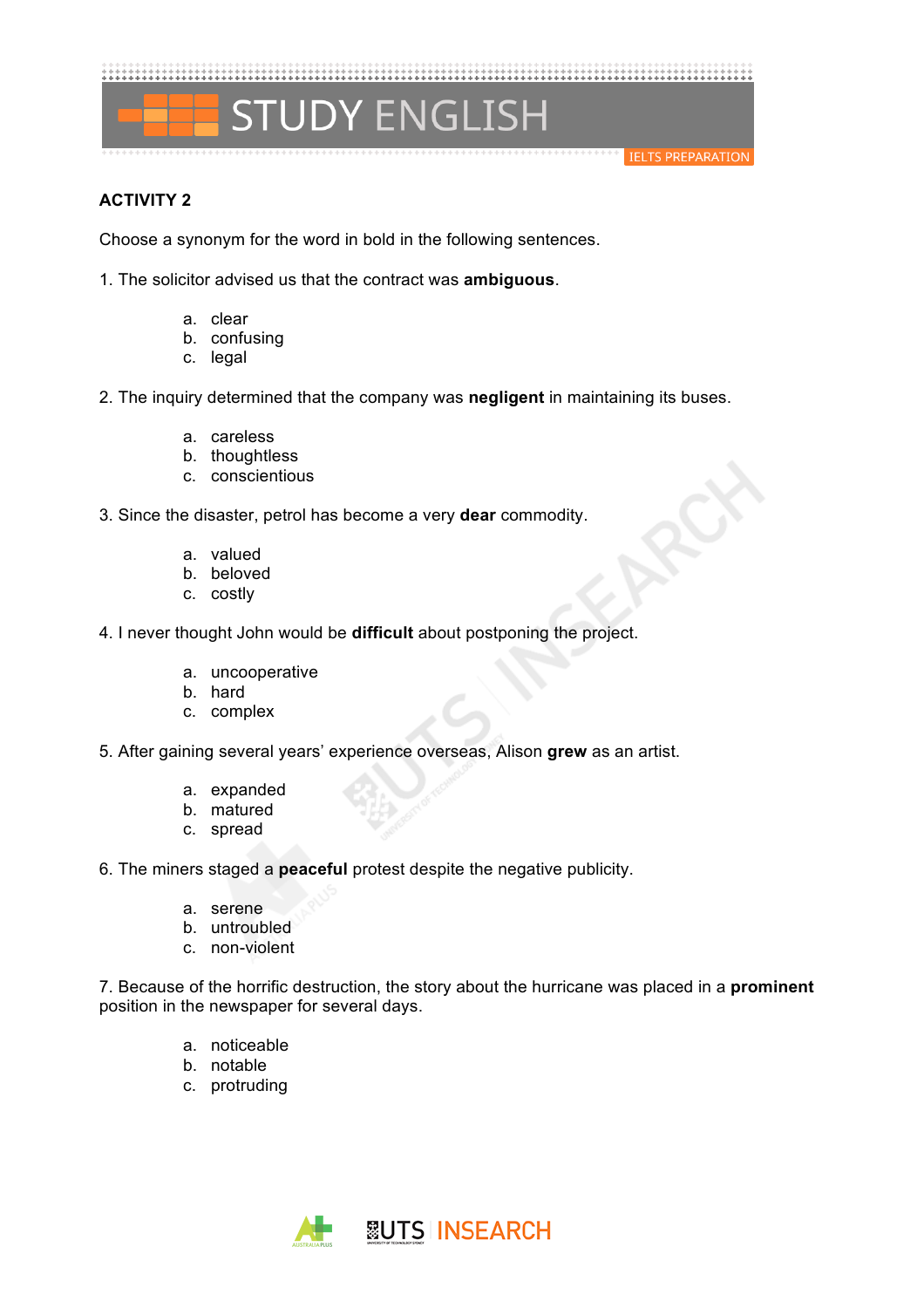**STUDY ENGLISH** 

#### **IELTS PREPARATION**

# **ACTIVITY 2**

Choose a synonym for the word in bold in the following sentences.

1. The solicitor advised us that the contract was **ambiguous**.

- a. clear
- b. confusing
- c. legal

2. The inquiry determined that the company was **negligent** in maintaining its buses.

- a. careless
- b. thoughtless
- c. conscientious

3. Since the disaster, petrol has become a very **dear** commodity.

- a. valued
- b. beloved
- c. costly

4. I never thought John would be **difficult** about postponing the project.

- a. uncooperative
- b. hard
- c. complex
- 5. After gaining several years' experience overseas, Alison **grew** as an artist.
	- a. expanded
	- b. matured
	- c. spread

6. The miners staged a **peaceful** protest despite the negative publicity.

- a. serene
- b. untroubled
- c. non-violent

7. Because of the horrific destruction, the story about the hurricane was placed in a **prominent** position in the newspaper for several days.

- a. noticeable
- b. notable
- c. protruding

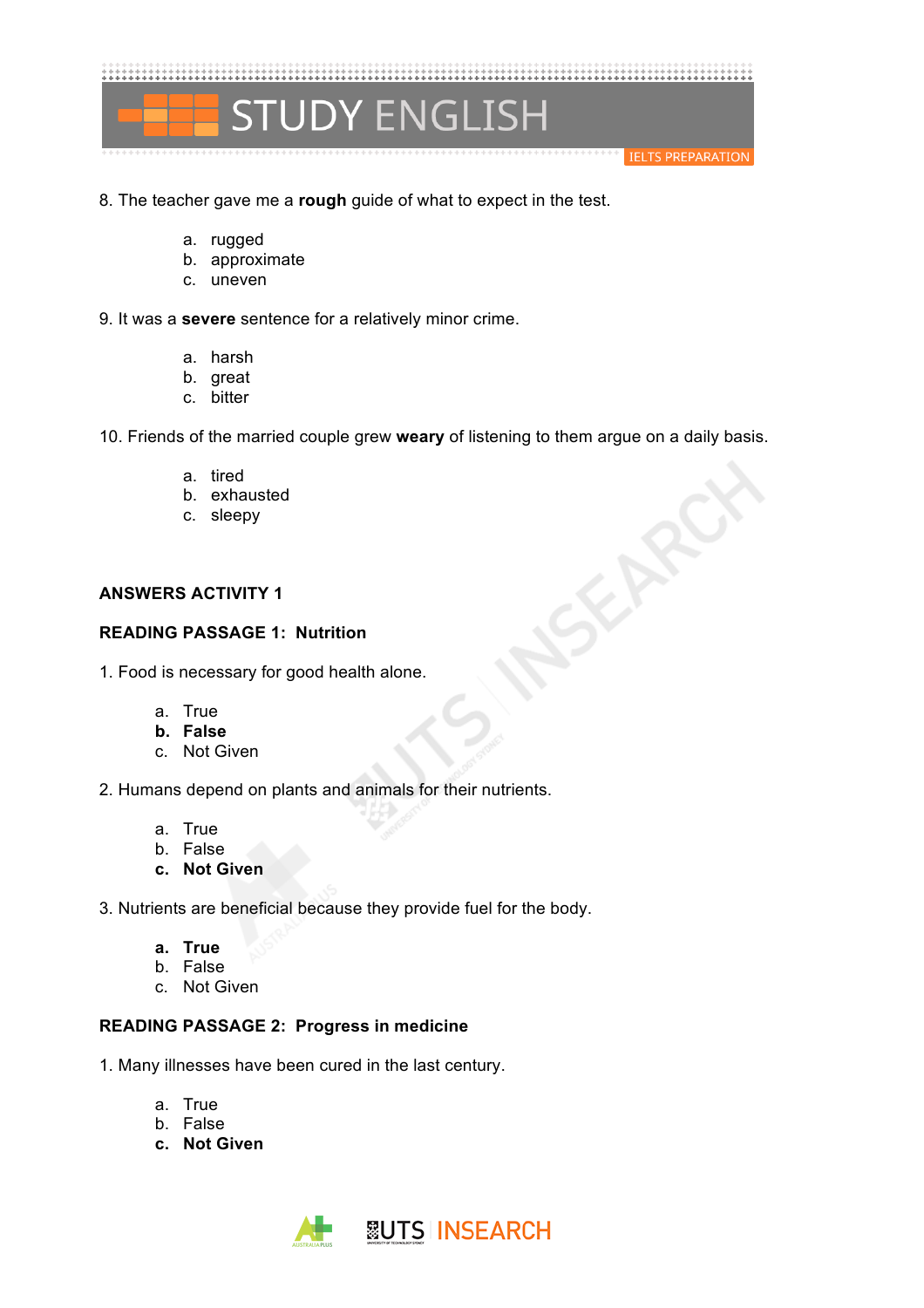

- 8. The teacher gave me a **rough** guide of what to expect in the test.
	- a. rugged
	- b. approximate
	- c. uneven

9. It was a **severe** sentence for a relatively minor crime.

- a. harsh
- b. great
- c. bitter

10. Friends of the married couple grew **weary** of listening to them argue on a daily basis.

 $\diamondsuit$ 

- a. tired
- b. exhausted
- c. sleepy

# **ANSWERS ACTIVITY 1**

# **READING PASSAGE 1: Nutrition**

1. Food is necessary for good health alone.

- a. True
- **b. False**
- c. Not Given

2. Humans depend on plants and animals for their nutrients.

- a. True
- b. False
- **c. Not Given**

3. Nutrients are beneficial because they provide fuel for the body.

- **a. True**
- b. False
- c. Not Given

# **READING PASSAGE 2: Progress in medicine**

1. Many illnesses have been cured in the last century.

- a. True
- b. False
- **c. Not Given**

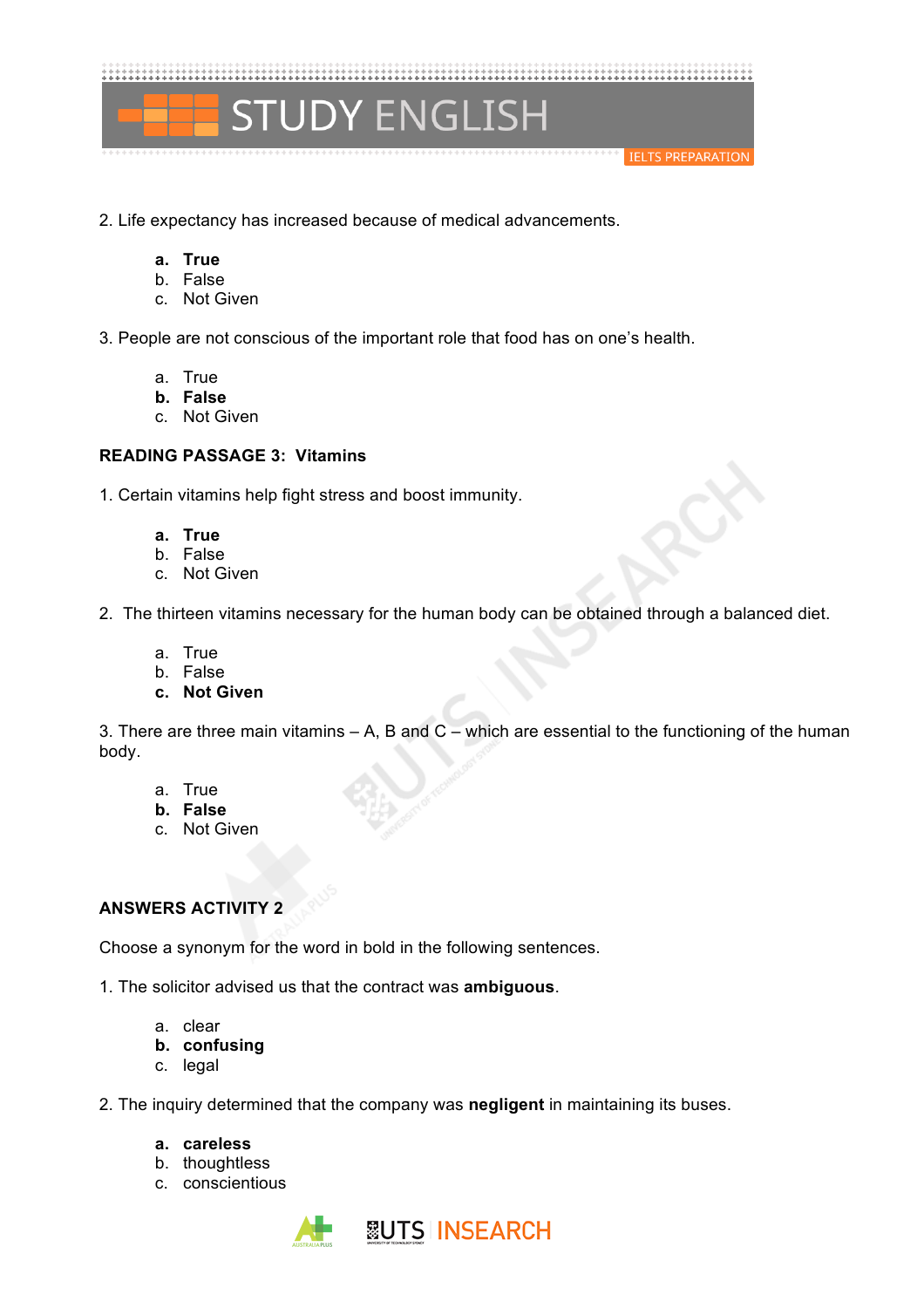

- 2. Life expectancy has increased because of medical advancements.
	- **a. True**
	- b. False
	- c. Not Given

3. People are not conscious of the important role that food has on one's health.

- a. True
- **b. False**
- c. Not Given

### **READING PASSAGE 3: Vitamins**

1. Certain vitamins help fight stress and boost immunity.

- **a. True**
- b. False
- c. Not Given

2. The thirteen vitamins necessary for the human body can be obtained through a balanced diet.

- a. True
- b. False
- **c. Not Given**

3. There are three main vitamins  $- A$ , B and  $C -$  which are essential to the functioning of the human body.

- a. True
- **b. False**
- c. Not Given

# **ANSWERS ACTIVITY 2**

Choose a synonym for the word in bold in the following sentences.

1. The solicitor advised us that the contract was **ambiguous**.

- a. clear
- **b. confusing**
- c. legal
- 2. The inquiry determined that the company was **negligent** in maintaining its buses.
	- **a. careless**
	- b. thoughtless
	- c. conscientious